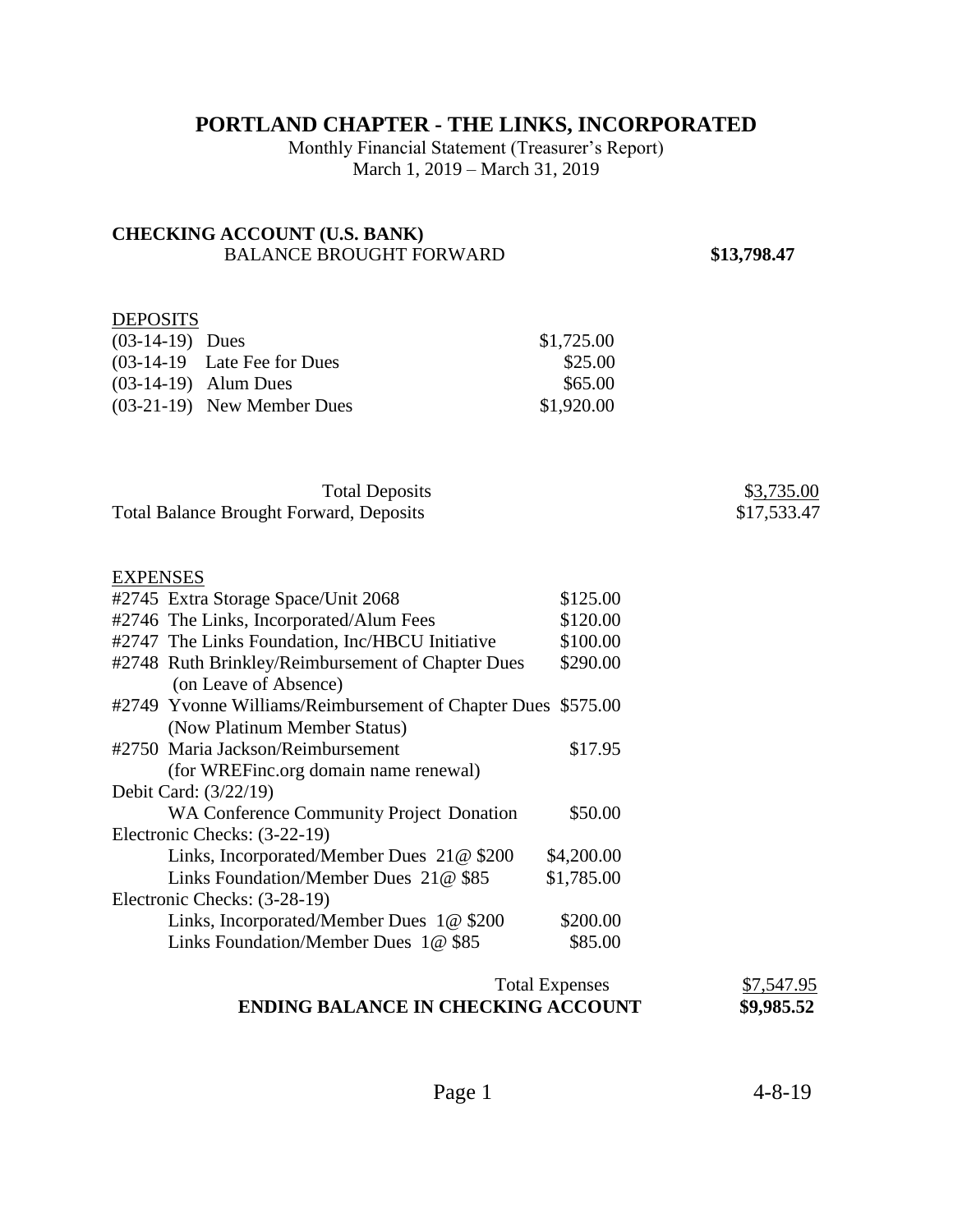# **PORTLAND CHAPTER - THE LINKS, INCORPORATED**

Monthly Financial Statement (Treasurer's Report) March 1, 2019 – March 31, 2019

# **CHECKING ACCOUNT (U.S. BANK)**  BALANCE BROUGHT FORWARD **\$13,798.47**

# **DEPOSITS**

| $(03-14-19)$ Dues |                               | \$1,725.00 |
|-------------------|-------------------------------|------------|
|                   | $(03-14-19$ Late Fee for Dues | \$25.00    |
|                   | $(03-14-19)$ Alum Dues        | \$65.00    |
|                   | $(03-21-19)$ New Member Dues  | \$1,920.00 |

| <b>Total Deposits</b>                          | \$3,735.00  |
|------------------------------------------------|-------------|
| <b>Total Balance Brought Forward, Deposits</b> | \$17,533.47 |

#### EXPENSES

| #2745 Extra Storage Space/Unit 2068                          | \$125.00   |
|--------------------------------------------------------------|------------|
| #2746 The Links, Incorporated/Alum Fees                      | \$120.00   |
| #2747 The Links Foundation, Inc/HBCU Initiative              | \$100.00   |
| #2748 Ruth Brinkley/Reimbursement of Chapter Dues            | \$290.00   |
| (on Leave of Absence)                                        |            |
| #2749 Yvonne Williams/Reimbursement of Chapter Dues \$575.00 |            |
| (Now Platinum Member Status)                                 |            |
| #2750 Maria Jackson/Reimbursement                            | \$17.95    |
| (for WREFinc.org domain name renewal)                        |            |
| Debit Card: (3/22/19)                                        |            |
| WA Conference Community Project Donation                     | \$50.00    |
| Electronic Checks: (3-22-19)                                 |            |
| Links, Incorporated/Member Dues $21@$ \$200                  | \$4,200.00 |
| Links Foundation/Member Dues 21@ \$85                        | \$1,785.00 |
| Electronic Checks: (3-28-19)                                 |            |
| Links, Incorporated/Member Dues 1@ \$200                     | \$200.00   |
| Links Foundation/Member Dues 1@ \$85                         | \$85.00    |
|                                                              |            |

### Total Expenses<br> **KING ACCOUNT** \$9,985.52 **ENDING BALANCE IN CHECKING ACCOUNT**